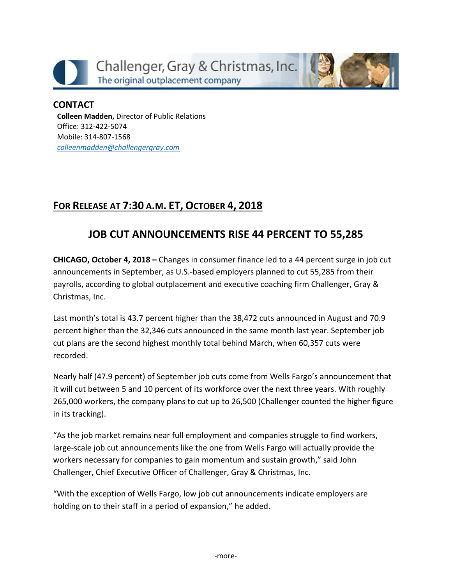



### **CONTACT Colleen Madden,** Director of Public Relations Office: 312-422-5074 Mobile: 314-807-1568 *[colleenmadden@challengergray.com](mailto:colleenmadden@challengergray.com)*

# **FOR RELEASE AT 7:30 A.M. ET, OCTOBER 4, 2018**

# **JOB CUT ANNOUNCEMENTS RISE 44 PERCENT TO 55,285**

**CHICAGO, October 4, 2018 –** Changes in consumer finance led to a 44 percent surge in job cut announcements in September, as U.S.-based employers planned to cut 55,285 from their payrolls, according to global outplacement and executive coaching firm Challenger, Gray & Christmas, Inc.

Last month's total is 43.7 percent higher than the 38,472 cuts announced in August and 70.9 percent higher than the 32,346 cuts announced in the same month last year. September job cut plans are the second highest monthly total behind March, when 60,357 cuts were recorded.

Nearly half (47.9 percent) of September job cuts come from Wells Fargo's announcement that it will cut between 5 and 10 percent of its workforce over the next three years. With roughly 265,000 workers, the company plans to cut up to 26,500 (Challenger counted the higher figure in its tracking).

"As the job market remains near full employment and companies struggle to find workers, large-scale job cut announcements like the one from Wells Fargo will actually provide the workers necessary for companies to gain momentum and sustain growth," said John Challenger, Chief Executive Officer of Challenger, Gray & Christmas, Inc.

"With the exception of Wells Fargo, low job cut announcements indicate employers are holding on to their staff in a period of expansion," he added.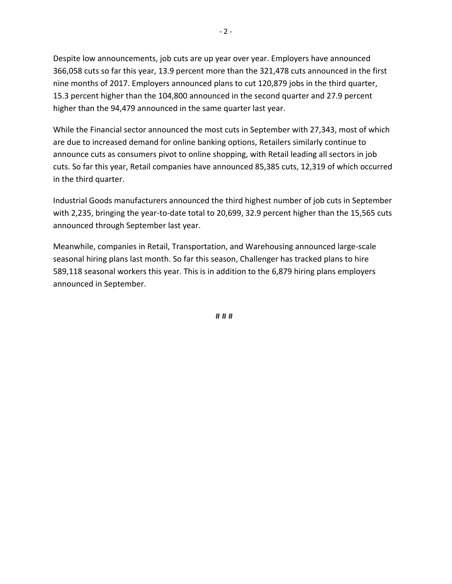Despite low announcements, job cuts are up year over year. Employers have announced 366,058 cuts so far this year, 13.9 percent more than the 321,478 cuts announced in the first nine months of 2017. Employers announced plans to cut 120,879 jobs in the third quarter, 15.3 percent higher than the 104,800 announced in the second quarter and 27.9 percent higher than the 94,479 announced in the same quarter last year.

While the Financial sector announced the most cuts in September with 27,343, most of which are due to increased demand for online banking options, Retailers similarly continue to announce cuts as consumers pivot to online shopping, with Retail leading all sectors in job cuts. So far this year, Retail companies have announced 85,385 cuts, 12,319 of which occurred in the third quarter.

Industrial Goods manufacturers announced the third highest number of job cuts in September with 2,235, bringing the year-to-date total to 20,699, 32.9 percent higher than the 15,565 cuts announced through September last year.

Meanwhile, companies in Retail, Transportation, and Warehousing announced large-scale seasonal hiring plans last month. So far this season, Challenger has tracked plans to hire 589,118 seasonal workers this year. This is in addition to the 6,879 hiring plans employers announced in September.

# # #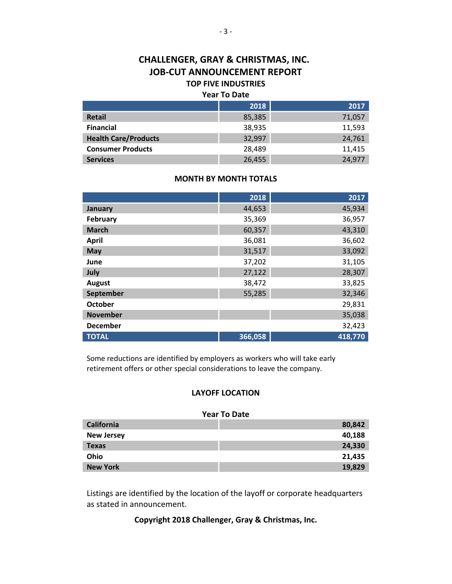### **CHALLENGER, GRAY & CHRISTMAS, INC. JOB-CUT ANNOUNCEMENT REPORT TOP FIVE INDUSTRIES**

#### **Year To Date**

|                             | 2018   | 2017   |
|-----------------------------|--------|--------|
| <b>Retail</b>               | 85,385 | 71,057 |
| <b>Financial</b>            | 38,935 | 11,593 |
| <b>Health Care/Products</b> | 32,997 | 24,761 |
| <b>Consumer Products</b>    | 28,489 | 11,415 |
| <b>Services</b>             | 26,455 | 24,977 |

#### **MONTH BY MONTH TOTALS**

|                 | 2018    | 2017    |
|-----------------|---------|---------|
| January         | 44,653  | 45,934  |
| February        | 35,369  | 36,957  |
| <b>March</b>    | 60,357  | 43,310  |
| <b>April</b>    | 36,081  | 36,602  |
| May             | 31,517  | 33,092  |
| June            | 37,202  | 31,105  |
| July            | 27,122  | 28,307  |
| <b>August</b>   | 38,472  | 33,825  |
| September       | 55,285  | 32,346  |
| <b>October</b>  |         | 29,831  |
| <b>November</b> |         | 35,038  |
| <b>December</b> |         | 32,423  |
| <b>TOTAL</b>    | 366,058 | 418,770 |

Some reductions are identified by employers as workers who will take early retirement offers or other special considerations to leave the company.

#### **LAYOFF LOCATION**

#### **Year To Date**

| <b>California</b> | 80,842 |
|-------------------|--------|
| <b>New Jersey</b> | 40,188 |
| <b>Texas</b>      | 24,330 |
| <b>Ohio</b>       | 21,435 |
| <b>New York</b>   | 19,829 |

Listings are identified by the location of the layoff or corporate headquarters as stated in announcement.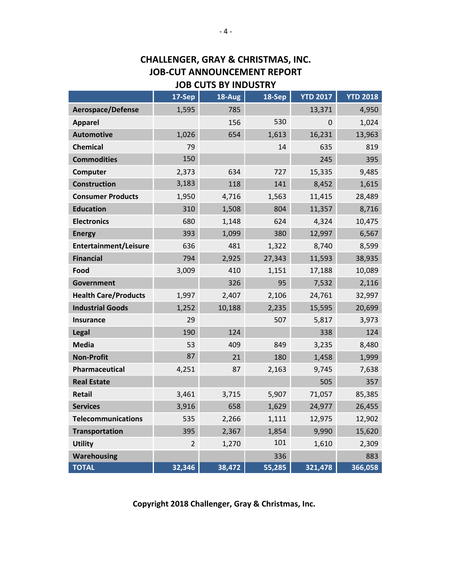## **CHALLENGER, GRAY & CHRISTMAS, INC. JOB-CUT ANNOUNCEMENT REPORT JOB CUTS BY INDUSTRY**

|                              | 17-Sep         | 18-Aug | 18-Sep | <b>YTD 2017</b> | <b>YTD 2018</b> |
|------------------------------|----------------|--------|--------|-----------------|-----------------|
| Aerospace/Defense            | 1,595          | 785    |        | 13,371          | 4,950           |
| <b>Apparel</b>               |                | 156    | 530    | 0               | 1,024           |
| <b>Automotive</b>            | 1,026          | 654    | 1,613  | 16,231          | 13,963          |
| <b>Chemical</b>              | 79             |        | 14     | 635             | 819             |
| <b>Commodities</b>           | 150            |        |        | 245             | 395             |
| Computer                     | 2,373          | 634    | 727    | 15,335          | 9,485           |
| <b>Construction</b>          | 3,183          | 118    | 141    | 8,452           | 1,615           |
| <b>Consumer Products</b>     | 1,950          | 4,716  | 1,563  | 11,415          | 28,489          |
| <b>Education</b>             | 310            | 1,508  | 804    | 11,357          | 8,716           |
| <b>Electronics</b>           | 680            | 1,148  | 624    | 4,324           | 10,475          |
| <b>Energy</b>                | 393            | 1,099  | 380    | 12,997          | 6,567           |
| <b>Entertainment/Leisure</b> | 636            | 481    | 1,322  | 8,740           | 8,599           |
| <b>Financial</b>             | 794            | 2,925  | 27,343 | 11,593          | 38,935          |
| Food                         | 3,009          | 410    | 1,151  | 17,188          | 10,089          |
| <b>Government</b>            |                | 326    | 95     | 7,532           | 2,116           |
| <b>Health Care/Products</b>  | 1,997          | 2,407  | 2,106  | 24,761          | 32,997          |
| <b>Industrial Goods</b>      | 1,252          | 10,188 | 2,235  | 15,595          | 20,699          |
| <b>Insurance</b>             | 29             |        | 507    | 5,817           | 3,973           |
| Legal                        | 190            | 124    |        | 338             | 124             |
| <b>Media</b>                 | 53             | 409    | 849    | 3,235           | 8,480           |
| <b>Non-Profit</b>            | 87             | 21     | 180    | 1,458           | 1,999           |
| Pharmaceutical               | 4,251          | 87     | 2,163  | 9,745           | 7,638           |
| <b>Real Estate</b>           |                |        |        | 505             | 357             |
| <b>Retail</b>                | 3,461          | 3,715  | 5,907  | 71,057          | 85,385          |
| <b>Services</b>              | 3,916          | 658    | 1,629  | 24,977          | 26,455          |
| <b>Telecommunications</b>    | 535            | 2,266  | 1,111  | 12,975          | 12,902          |
| <b>Transportation</b>        | 395            | 2,367  | 1,854  | 9,990           | 15,620          |
| <b>Utility</b>               | $\overline{2}$ | 1,270  | 101    | 1,610           | 2,309           |
| Warehousing                  |                |        | 336    |                 | 883             |
| <b>TOTAL</b>                 | 32,346         | 38,472 | 55,285 | 321,478         | 366,058         |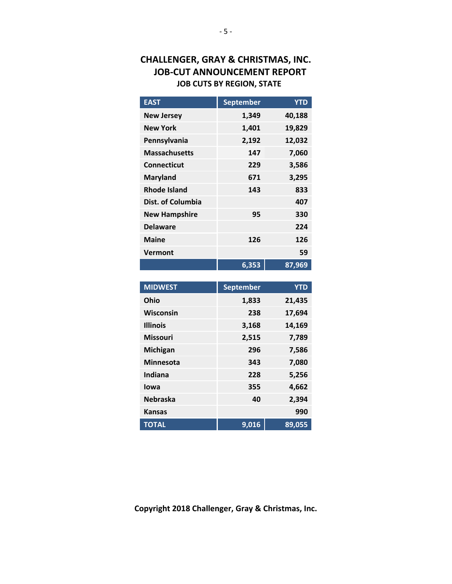## **CHALLENGER, GRAY & CHRISTMAS, INC. JOB-CUT ANNOUNCEMENT REPORT JOB CUTS BY REGION, STATE**

| <b>EAST</b>          | <b>September</b> | <b>YTD</b> |
|----------------------|------------------|------------|
| <b>New Jersey</b>    | 1,349            | 40,188     |
| <b>New York</b>      | 1,401            | 19,829     |
| Pennsylvania         | 2,192            | 12,032     |
| <b>Massachusetts</b> | 147              | 7,060      |
| Connecticut          | 229              | 3,586      |
| <b>Maryland</b>      | 671              | 3,295      |
| <b>Rhode Island</b>  | 143              | 833        |
| Dist. of Columbia    |                  | 407        |
| <b>New Hampshire</b> | 95               | 330        |
| <b>Delaware</b>      |                  | 224        |
| <b>Maine</b>         | 126              | 126        |
| Vermont              |                  | 59         |
|                      | 6,353            | 87,969     |

| <b>MIDWEST</b>   | <b>September</b> | <b>YTD</b> |
|------------------|------------------|------------|
| Ohio             | 1,833            | 21,435     |
| Wisconsin        | 238              | 17,694     |
| <b>Illinois</b>  | 3,168            | 14,169     |
| <b>Missouri</b>  | 2,515            | 7,789      |
| Michigan         | 296              | 7,586      |
| <b>Minnesota</b> | 343              | 7,080      |
| Indiana          | 228              | 5,256      |
| lowa             | 355              | 4,662      |
| <b>Nebraska</b>  | 40               | 2,394      |
| <b>Kansas</b>    |                  | 990        |
| <b>TOTAL</b>     | 9,016            | 89,055     |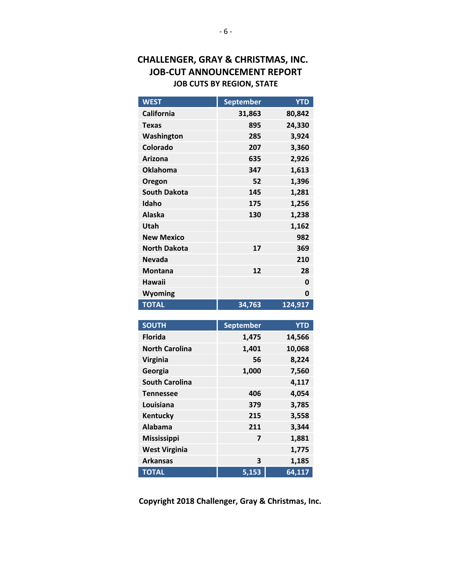## **CHALLENGER, GRAY & CHRISTMAS, INC. JOB-CUT ANNOUNCEMENT REPORT JOB CUTS BY REGION, STATE**

| <b>WEST</b>         | <b>September</b> | YTD     |
|---------------------|------------------|---------|
| <b>California</b>   | 31,863           | 80,842  |
| <b>Texas</b>        | 895              | 24,330  |
| Washington          | 285              | 3,924   |
| <b>Colorado</b>     | 207              | 3,360   |
| Arizona             | 635              | 2,926   |
| <b>Oklahoma</b>     | 347              | 1,613   |
| Oregon              | 52               | 1,396   |
| <b>South Dakota</b> | 145              | 1,281   |
| Idaho               | 175              | 1,256   |
| <b>Alaska</b>       | 130              | 1,238   |
| Utah                |                  | 1,162   |
| <b>New Mexico</b>   |                  | 982     |
| <b>North Dakota</b> | 17               | 369     |
| <b>Nevada</b>       |                  | 210     |
| <b>Montana</b>      | 12               | 28      |
| <b>Hawaii</b>       |                  | 0       |
| Wyoming             |                  | 0       |
| <b>TOTAL</b>        | 34,763           | 124,917 |

| <b>SOUTH</b>          | <b>September</b>        | <b>YTD</b> |
|-----------------------|-------------------------|------------|
| <b>Florida</b>        | 1,475                   | 14,566     |
| <b>North Carolina</b> | 1,401                   | 10,068     |
| <b>Virginia</b>       | 56                      | 8,224      |
| Georgia               | 1,000                   | 7,560      |
| <b>South Carolina</b> |                         | 4,117      |
| <b>Tennessee</b>      | 406                     | 4,054      |
| Louisiana             | 379                     | 3,785      |
| Kentucky              | 215                     | 3,558      |
| Alabama               | 211                     | 3,344      |
| <b>Mississippi</b>    | $\overline{\mathbf{z}}$ | 1,881      |
| <b>West Virginia</b>  |                         | 1,775      |
| <b>Arkansas</b>       | 3                       | 1,185      |
| <b>TOTAL</b>          | 5,153                   | 64,117     |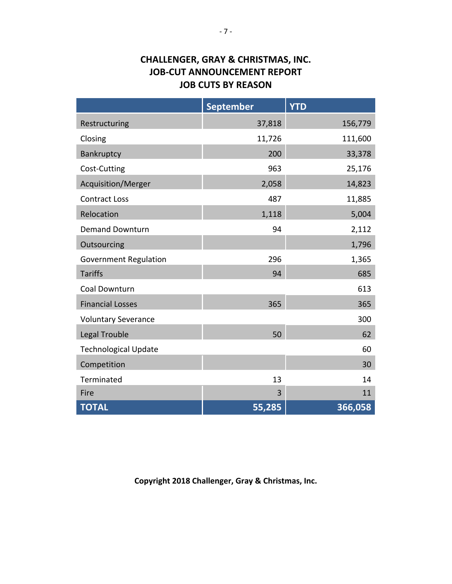# **CHALLENGER, GRAY & CHRISTMAS, INC. JOB-CUT ANNOUNCEMENT REPORT JOB CUTS BY REASON**

|                              | <b>September</b> | <b>YTD</b> |
|------------------------------|------------------|------------|
| Restructuring                | 37,818           | 156,779    |
| Closing                      | 11,726           | 111,600    |
| Bankruptcy                   | 200              | 33,378     |
| Cost-Cutting                 | 963              | 25,176     |
| Acquisition/Merger           | 2,058            | 14,823     |
| <b>Contract Loss</b>         | 487              | 11,885     |
| Relocation                   | 1,118            | 5,004      |
| <b>Demand Downturn</b>       | 94               | 2,112      |
| Outsourcing                  |                  | 1,796      |
| <b>Government Regulation</b> | 296              | 1,365      |
| <b>Tariffs</b>               | 94               | 685        |
| Coal Downturn                |                  | 613        |
| <b>Financial Losses</b>      | 365              | 365        |
| <b>Voluntary Severance</b>   |                  | 300        |
| Legal Trouble                | 50               | 62         |
| <b>Technological Update</b>  |                  | 60         |
| Competition                  |                  | 30         |
| Terminated                   | 13               | 14         |
| Fire                         | 3                | 11         |
| <b>TOTAL</b>                 | 55,285           | 366,058    |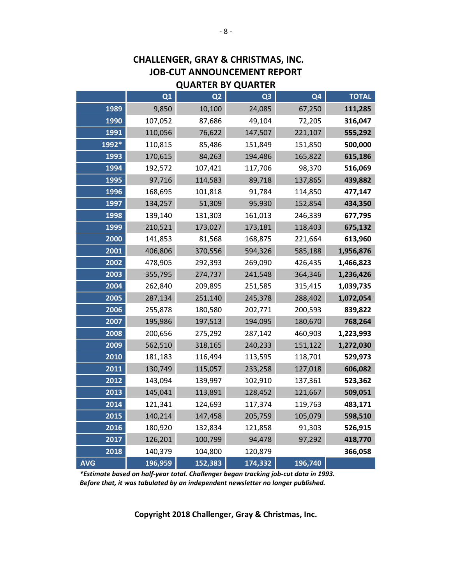| QUARIER BY QUARIER |                |                |                |                |              |
|--------------------|----------------|----------------|----------------|----------------|--------------|
|                    | Q <sub>1</sub> | Q <sub>2</sub> | Q <sub>3</sub> | Q <sub>4</sub> | <b>TOTAL</b> |
| 1989               | 9,850          | 10,100         | 24,085         | 67,250         | 111,285      |
| 1990               | 107,052        | 87,686         | 49,104         | 72,205         | 316,047      |
| 1991               | 110,056        | 76,622         | 147,507        | 221,107        | 555,292      |
| 1992*              | 110,815        | 85,486         | 151,849        | 151,850        | 500,000      |
| 1993               | 170,615        | 84,263         | 194,486        | 165,822        | 615,186      |
| 1994               | 192,572        | 107,421        | 117,706        | 98,370         | 516,069      |
| 1995               | 97,716         | 114,583        | 89,718         | 137,865        | 439,882      |
| 1996               | 168,695        | 101,818        | 91,784         | 114,850        | 477,147      |
| 1997               | 134,257        | 51,309         | 95,930         | 152,854        | 434,350      |
| 1998               | 139,140        | 131,303        | 161,013        | 246,339        | 677,795      |
| 1999               | 210,521        | 173,027        | 173,181        | 118,403        | 675,132      |
| 2000               | 141,853        | 81,568         | 168,875        | 221,664        | 613,960      |
| 2001               | 406,806        | 370,556        | 594,326        | 585,188        | 1,956,876    |
| 2002               | 478,905        | 292,393        | 269,090        | 426,435        | 1,466,823    |
| 2003               | 355,795        | 274,737        | 241,548        | 364,346        | 1,236,426    |
| 2004               | 262,840        | 209,895        | 251,585        | 315,415        | 1,039,735    |
| 2005               | 287,134        | 251,140        | 245,378        | 288,402        | 1,072,054    |
| 2006               | 255,878        | 180,580        | 202,771        | 200,593        | 839,822      |
| 2007               | 195,986        | 197,513        | 194,095        | 180,670        | 768,264      |
| 2008               | 200,656        | 275,292        | 287,142        | 460,903        | 1,223,993    |
| 2009               | 562,510        | 318,165        | 240,233        | 151,122        | 1,272,030    |
| 2010               | 181,183        | 116,494        | 113,595        | 118,701        | 529,973      |
| 2011               | 130,749        | 115,057        | 233,258        | 127,018        | 606,082      |
| 2012               | 143,094        | 139,997        | 102,910        | 137,361        | 523,362      |
| 2013               | 145,041        | 113,891        | 128,452        | 121,667        | 509,051      |
| 2014               | 121,341        | 124,693        | 117,374        | 119,763        | 483,171      |
| 2015               | 140,214        | 147,458        | 205,759        | 105,079        | 598,510      |
| 2016               | 180,920        | 132,834        | 121,858        | 91,303         | 526,915      |
| 2017               | 126,201        | 100,799        | 94,478         | 97,292         | 418,770      |
| 2018               | 140,379        | 104,800        | 120,879        |                | 366,058      |
| <b>AVG</b>         | 196,959        | 152,383        | 174,332        | 196,740        |              |

### **CHALLENGER, GRAY & CHRISTMAS, INC. JOB-CUT ANNOUNCEMENT REPORT QUARTER BY QUARTER**

*\*Estimate based on half-year total. Challenger began tracking job-cut data in 1993. Before that, it was tabulated by an independent newsletter no longer published.*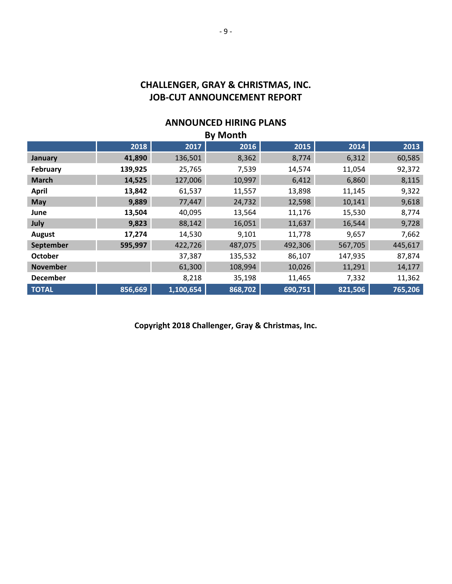# **CHALLENGER, GRAY & CHRISTMAS, INC. JOB-CUT ANNOUNCEMENT REPORT**

#### **ANNOUNCED HIRING PLANS By Month**

| <b>BY MONTH</b> |         |           |         |         |         |         |
|-----------------|---------|-----------|---------|---------|---------|---------|
|                 | 2018    | 2017      | 2016    | 2015    | 2014    | 2013    |
| January         | 41,890  | 136,501   | 8,362   | 8,774   | 6,312   | 60,585  |
| February        | 139,925 | 25,765    | 7,539   | 14,574  | 11,054  | 92,372  |
| <b>March</b>    | 14,525  | 127,006   | 10,997  | 6,412   | 6,860   | 8,115   |
| <b>April</b>    | 13,842  | 61,537    | 11,557  | 13,898  | 11,145  | 9,322   |
| May             | 9,889   | 77,447    | 24,732  | 12,598  | 10,141  | 9,618   |
| June            | 13,504  | 40,095    | 13,564  | 11,176  | 15,530  | 8,774   |
| July            | 9,823   | 88,142    | 16,051  | 11,637  | 16,544  | 9,728   |
| August          | 17,274  | 14,530    | 9,101   | 11,778  | 9,657   | 7,662   |
| September       | 595,997 | 422,726   | 487,075 | 492,306 | 567,705 | 445,617 |
| October         |         | 37,387    | 135,532 | 86,107  | 147,935 | 87,874  |
| <b>November</b> |         | 61,300    | 108,994 | 10,026  | 11,291  | 14,177  |
| <b>December</b> |         | 8,218     | 35,198  | 11,465  | 7,332   | 11,362  |
| <b>TOTAL</b>    | 856,669 | 1,100,654 | 868,702 | 690,751 | 821,506 | 765,206 |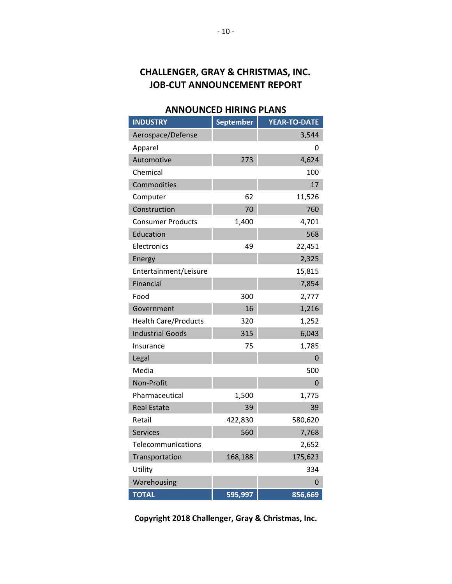# **CHALLENGER, GRAY & CHRISTMAS, INC. JOB-CUT ANNOUNCEMENT REPORT**

### **ANNOUNCED HIRING PLANS**

| <b>INDUSTRY</b>             | <b>September</b> | <b>YEAR-TO-DATE</b> |
|-----------------------------|------------------|---------------------|
| Aerospace/Defense           |                  | 3,544               |
| Apparel                     |                  | 0                   |
| Automotive                  | 273              | 4,624               |
| Chemical                    |                  | 100                 |
| Commodities                 |                  | 17                  |
| Computer                    | 62               | 11,526              |
| Construction                | 70               | 760                 |
| <b>Consumer Products</b>    | 1,400            | 4,701               |
| Education                   |                  | 568                 |
| Electronics                 | 49               | 22,451              |
| Energy                      |                  | 2,325               |
| Entertainment/Leisure       |                  | 15,815              |
| Financial                   |                  | 7,854               |
| Food                        | 300              | 2,777               |
| Government                  | 16               | 1,216               |
| <b>Health Care/Products</b> | 320              | 1,252               |
| <b>Industrial Goods</b>     | 315              | 6,043               |
| Insurance                   | 75               | 1,785               |
| Legal                       |                  | 0                   |
| Media                       |                  | 500                 |
| Non-Profit                  |                  | 0                   |
| Pharmaceutical              | 1,500            | 1,775               |
| <b>Real Estate</b>          | 39               | 39                  |
| Retail                      | 422,830          | 580,620             |
| <b>Services</b>             | 560              | 7,768               |
| Telecommunications          |                  | 2,652               |
| Transportation              | 168,188          | 175,623             |
| Utility                     |                  | 334                 |
| Warehousing                 |                  | 0                   |
| <b>TOTAL</b>                | 595,997          | 856,669             |